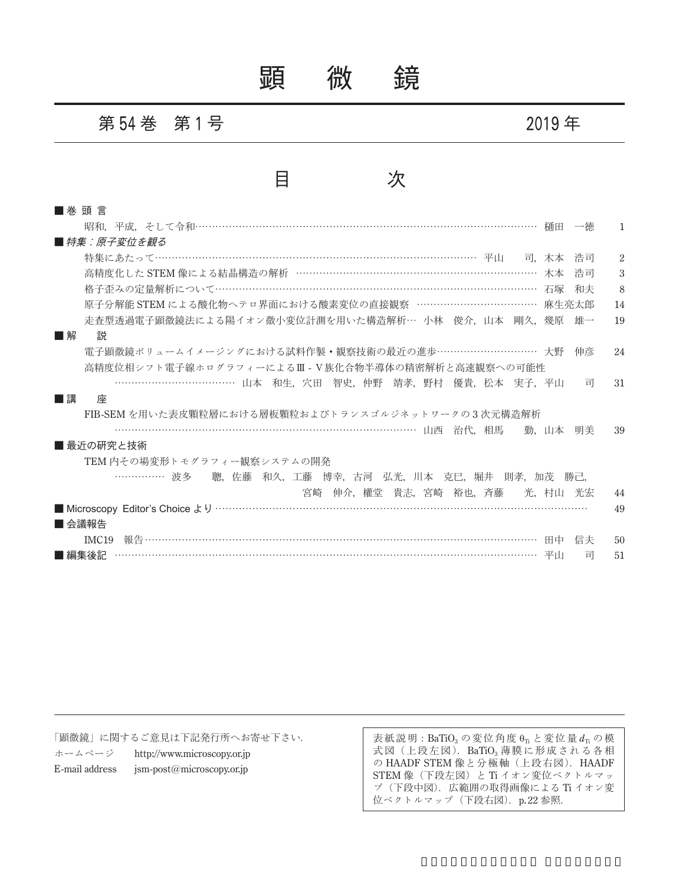顕 微 鏡

### 第 **54** 巻 第 **1** 号 **2019** 年



| ■ 巻 頭 言                                                |      |    |                             |
|--------------------------------------------------------|------|----|-----------------------------|
|                                                        |      | 一徳 | -1                          |
| ■ 特集:原子変位を観る                                           |      |    |                             |
| 特集にあたって…………………………………………………………………………………………… 平川 - 司 木本   |      | 浩司 | $\mathcal{D}_{\mathcal{L}}$ |
| 高精度化した STEM 像による結晶構造の解析 ……………………………………………………………… 木本    |      | 浩司 | 3                           |
| 格子歪みの定量解析について…………………………………………………………………………………… 石塚       |      | 和夫 | 8                           |
| 原子分解能 STEM による酸化物ヘテロ界面における酸素変位の直接観察 ……………………………… 麻生亮太郎 |      |    | 14                          |
| 走査型透過電子顕微鏡法による陽イオン微小変位計測を用いた構造解析… 小林 俊介,山本 剛久,幾原 雄一    |      |    | 19                          |
| ■解<br>説                                                |      |    |                             |
| 電子顕微鏡ボリュームイメージングにおける試料作製・観察技術の最近の進歩………………………… 大野       |      | 伸彦 | 24                          |
| 高精度位相シフト電子線ホログラフィーによるⅢ - Ⅴ族化合物半導体の精密解析と高速観察への可能性       |      |    |                             |
| ………………………………… 山本 和生,穴田 智史,仲野 靖孝,野村 優貴,松本 実子,平山         |      | 司  | 31                          |
| ■講<br>座                                                |      |    |                             |
| FIB-SEM を用いた表皮顆粒層における層板顆粒およびトランスゴルジネットワークの3次元構造解析      |      |    |                             |
| ………………………………………………………………………………………… 山西 治代,相馬            | 勤.山本 | 明美 | 39                          |
| ■ 最近の研究と技術                                             |      |    |                             |
| TEM 内その場変形トモグラフィー観察システムの開発                             |      |    |                             |
| ……………… 波多  聰,佐藤 和久,工藤 博幸,古河 弘光,川本 克巳,堀井 則孝,加茂 勝己,      |      |    |                             |
| 宮崎 伸介,權堂 貴志,宮崎 裕也,斉藤  光,村山 光宏                          |      |    | 44                          |
|                                                        |      |    | 49                          |
| ■ 会議報告                                                 |      |    |                             |
| IMC19                                                  |      | 信夫 | 50                          |
| ■ 編集後記                                                 |      | 司  | 51                          |

「顕微鏡」に関するご意見は下記発行所へお寄せ下さい.

ホームページ http://www.microscopy.or.jp E-mail address jsm-post@microscopy.or.jp

表紙説明: BaTiO<sub>3</sub> の変位角度 θ<sub>Ti</sub> と変位量 d<sub>Ti</sub> の模 式図(上段左図).BaTiO<sub>3</sub>薄膜に形成される各相 の HAADF STEM 像と分極軸 (上段右図). HAADF STEM 像(下段左図)とTi イオン変位ベクトルマッ プ(下段中図).広範囲の取得画像による Ti イオン変 位ベクトルマップ (下段右図).  $p.22$ 参照.